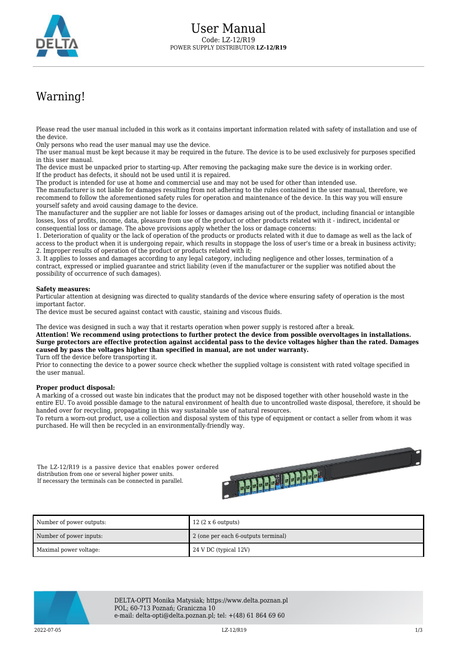

## Warning!

Please read the user manual included in this work as it contains important information related with safety of installation and use of the device.

Only persons who read the user manual may use the device.

The user manual must be kept because it may be required in the future. The device is to be used exclusively for purposes specified in this user manual.

The device must be unpacked prior to starting-up. After removing the packaging make sure the device is in working order. If the product has defects, it should not be used until it is repaired.

The product is intended for use at home and commercial use and may not be used for other than intended use.

The manufacturer is not liable for damages resulting from not adhering to the rules contained in the user manual, therefore, we recommend to follow the aforementioned safety rules for operation and maintenance of the device. In this way you will ensure yourself safety and avoid causing damage to the device.

The manufacturer and the supplier are not liable for losses or damages arising out of the product, including financial or intangible losses, loss of profits, income, data, pleasure from use of the product or other products related with it - indirect, incidental or consequential loss or damage. The above provisions apply whether the loss or damage concerns:

1. Deterioration of quality or the lack of operation of the products or products related with it due to damage as well as the lack of access to the product when it is undergoing repair, which results in stoppage the loss of user's time or a break in business activity; 2. Improper results of operation of the product or products related with it;

3. It applies to losses and damages according to any legal category, including negligence and other losses, termination of a contract, expressed or implied guarantee and strict liability (even if the manufacturer or the supplier was notified about the possibility of occurrence of such damages).

## **Safety measures:**

Particular attention at designing was directed to quality standards of the device where ensuring safety of operation is the most important factor.

The device must be secured against contact with caustic, staining and viscous fluids.

The device was designed in such a way that it restarts operation when power supply is restored after a break.

**Attention! We recommend using protections to further protect the device from possible overvoltages in installations. Surge protectors are effective protection against accidental pass to the device voltages higher than the rated. Damages caused by pass the voltages higher than specified in manual, are not under warranty.**

Turn off the device before transporting it.

Prior to connecting the device to a power source check whether the supplied voltage is consistent with rated voltage specified in the user manual.

## **Proper product disposal:**

A marking of a crossed out waste bin indicates that the product may not be disposed together with other household waste in the entire EU. To avoid possible damage to the natural environment of health due to uncontrolled waste disposal, therefore, it should be handed over for recycling, propagating in this way sustainable use of natural resources.

To return a worn-out product, use a collection and disposal system of this type of equipment or contact a seller from whom it was purchased. He will then be recycled in an environmentally-friendly way.

The LZ-12/R19 is a passive device that enables power ordered distribution from one or several higher power units. If necessary the terminals can be connected in parallel.



| Number of power outputs: | $12(2 \times 6$ outputs)            |
|--------------------------|-------------------------------------|
| Number of power inputs:  | 2 (one per each 6-outputs terminal) |
| Maximal power voltage:   | $\vert$ 24 V DC (typical 12V)       |



DELTA-OPTI Monika Matysiak; https://www.delta.poznan.pl POL; 60-713 Poznań; Graniczna 10 e-mail: delta-opti@delta.poznan.pl; tel: +(48) 61 864 69 60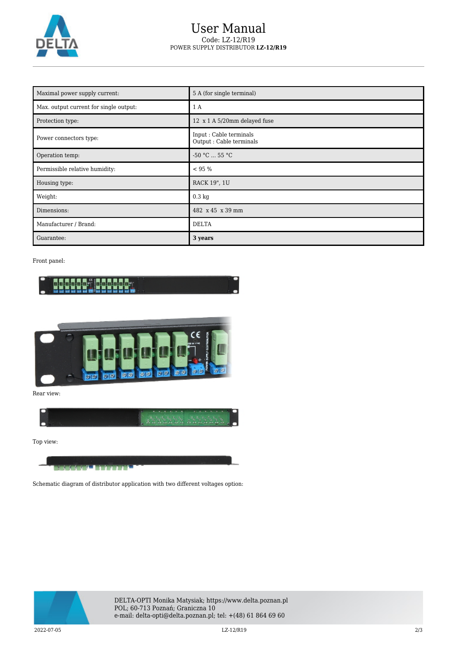

## User Manual Code: LZ-12/R19 POWER SUPPLY DISTRIBUTOR **LZ-12/R19**

| Maximal power supply current:          | 5 A (for single terminal)                           |
|----------------------------------------|-----------------------------------------------------|
| Max. output current for single output: | 1 A                                                 |
| Protection type:                       | 12 x 1 A 5/20mm delayed fuse                        |
| Power connectors type:                 | Input : Cable terminals<br>Output : Cable terminals |
| Operation temp:                        | $-50 °C  55 °C$                                     |
| Permissible relative humidity:         | < 95 %                                              |
| Housing type:                          | RACK 19", 1U                                        |
| Weight:                                | $0.3 \text{ kg}$                                    |
| Dimensions:                            | 482 x 45 x 39 mm                                    |
| Manufacturer / Brand:                  | <b>DELTA</b>                                        |
| Guarantee:                             | 3 years                                             |

Front panel:





Rear view:



Top view:



Schematic diagram of distributor application with two different voltages option:



DELTA-OPTI Monika Matysiak; https://www.delta.poznan.pl POL; 60-713 Poznań; Graniczna 10 e-mail: delta-opti@delta.poznan.pl; tel: +(48) 61 864 69 60

2022-07-05 LZ-12/R19 2/3